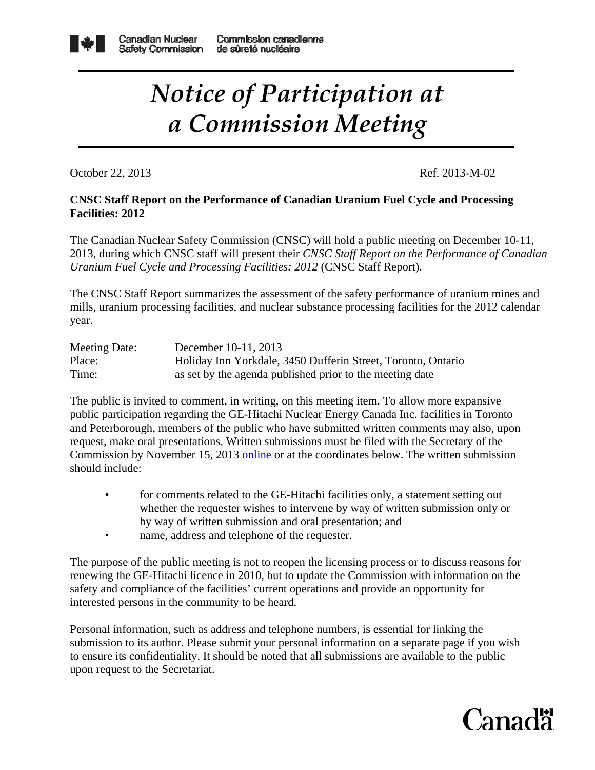

## *Notice of Participation at a Commission Meeting*

October 22, 2013 Ref. 2013-M-02

## **CNSC Staff Report on the Performance of Canadian Uranium Fuel Cycle and Processing Facilities: 2012**

The Canadian Nuclear Safety Commission (CNSC) will hold a public meeting on December 10-11, 2013, during which CNSC staff will present their *CNSC Staff Report on the Performance of Canadian Uranium Fuel Cycle and Processing Facilities: 2012* (CNSC Staff Report)*.*

The CNSC Staff Report summarizes the assessment of the safety performance of uranium mines and mills, uranium processing facilities, and nuclear substance processing facilities for the 2012 calendar year.

| Meeting Date: | December 10-11, 2013                                         |
|---------------|--------------------------------------------------------------|
| Place:        | Holiday Inn Yorkdale, 3450 Dufferin Street, Toronto, Ontario |
| Time:         | as set by the agenda published prior to the meeting date     |

The public is invited to comment, in writing, on this meeting item. To allow more expansive public participation regarding the GE-Hitachi Nuclear Energy Canada Inc. facilities in Toronto and Peterborough, members of the public who have submitted written comments may also, upon request, make oral presentations. Written submissions must be filed with the Secretary of the Commission by November 15, 2013 [online](http://www.nuclearsafety.gc.ca/eng/commission/intervention/index.cfm) or at the coordinates below. The written submission should include:

- for comments related to the GE-Hitachi facilities only, a statement setting out whether the requester wishes to intervene by way of written submission only or by way of written submission and oral presentation; and
- name, address and telephone of the requester.

The purpose of the public meeting is not to reopen the licensing process or to discuss reasons for renewing the GE-Hitachi licence in 2010, but to update the Commission with information on the safety and compliance of the facilities' current operations and provide an opportunity for interested persons in the community to be heard.

Personal information, such as address and telephone numbers, is essential for linking the submission to its author. Please submit your personal information on a separate page if you wish to ensure its confidentiality. It should be noted that all submissions are available to the public upon request to the Secretariat.